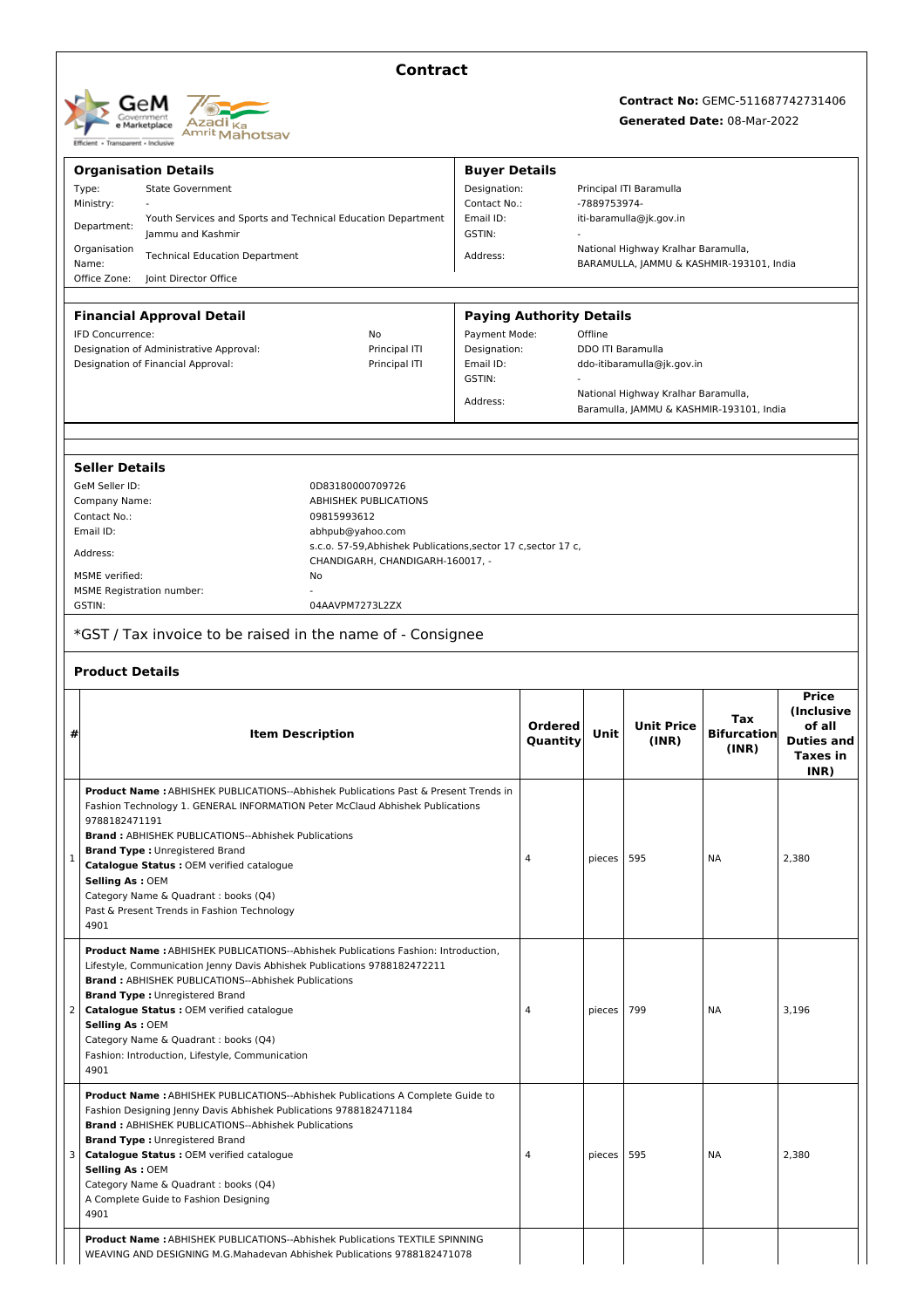| GeM<br>Government<br>e Marketplace<br>Efficient - Transparent - Inclusive | Azadi <sub>Ka</sub><br>Amrit Mahotsay |
|---------------------------------------------------------------------------|---------------------------------------|
|---------------------------------------------------------------------------|---------------------------------------|

## **Contract**

# **Contract No:** GEMC-511687742731406

### **Generated Date:** 08-Mar-2022

|   | <b>Organisation Details</b>                                                                                                                                   |                                                                | <b>Buyer Details</b> |                                                 |         |                                                                                 |                    |                   |  |
|---|---------------------------------------------------------------------------------------------------------------------------------------------------------------|----------------------------------------------------------------|----------------------|-------------------------------------------------|---------|---------------------------------------------------------------------------------|--------------------|-------------------|--|
|   | Type:<br><b>State Government</b>                                                                                                                              |                                                                |                      | Designation:<br>Principal ITI Baramulla         |         |                                                                                 |                    |                   |  |
|   | Ministry:<br>Contact No.:<br>Youth Services and Sports and Technical Education Department<br>Email ID:                                                        |                                                                |                      | -7889753974-<br>iti-baramulla@jk.gov.in         |         |                                                                                 |                    |                   |  |
|   | Department:<br>GSTIN:<br>Jammu and Kashmir                                                                                                                    |                                                                |                      |                                                 |         |                                                                                 |                    |                   |  |
|   | Organisation<br><b>Technical Education Department</b>                                                                                                         |                                                                |                      | National Highway Kralhar Baramulla,<br>Address: |         |                                                                                 |                    |                   |  |
|   | Name:<br>Office Zone:<br>Joint Director Office                                                                                                                |                                                                |                      |                                                 |         | BARAMULLA, JAMMU & KASHMIR-193101, India                                        |                    |                   |  |
|   |                                                                                                                                                               |                                                                |                      |                                                 |         |                                                                                 |                    |                   |  |
|   | <b>Financial Approval Detail</b>                                                                                                                              |                                                                |                      | <b>Paying Authority Details</b>                 |         |                                                                                 |                    |                   |  |
|   | IFD Concurrence:                                                                                                                                              | No                                                             | Payment Mode:        |                                                 | Offline |                                                                                 |                    |                   |  |
|   | Designation of Administrative Approval:                                                                                                                       | Principal ITI                                                  | Designation:         |                                                 |         | DDO ITI Baramulla                                                               |                    |                   |  |
|   | Designation of Financial Approval:                                                                                                                            | Principal ITI                                                  | Email ID:            | ddo-itibaramulla@jk.gov.in                      |         |                                                                                 |                    |                   |  |
|   |                                                                                                                                                               |                                                                | GSTIN:               |                                                 |         |                                                                                 |                    |                   |  |
|   |                                                                                                                                                               |                                                                | Address:             |                                                 |         | National Highway Kralhar Baramulla,<br>Baramulla, JAMMU & KASHMIR-193101, India |                    |                   |  |
|   |                                                                                                                                                               |                                                                |                      |                                                 |         |                                                                                 |                    |                   |  |
|   |                                                                                                                                                               |                                                                |                      |                                                 |         |                                                                                 |                    |                   |  |
|   | <b>Seller Details</b>                                                                                                                                         |                                                                |                      |                                                 |         |                                                                                 |                    |                   |  |
|   | GeM Seller ID:                                                                                                                                                | 0D83180000709726                                               |                      |                                                 |         |                                                                                 |                    |                   |  |
|   | Company Name:                                                                                                                                                 | <b>ABHISHEK PUBLICATIONS</b>                                   |                      |                                                 |         |                                                                                 |                    |                   |  |
|   | Contact No.:<br>Email ID:                                                                                                                                     | 09815993612<br>abhpub@yahoo.com                                |                      |                                                 |         |                                                                                 |                    |                   |  |
|   |                                                                                                                                                               | s.c.o. 57-59, Abhishek Publications, sector 17 c, sector 17 c, |                      |                                                 |         |                                                                                 |                    |                   |  |
|   | Address:                                                                                                                                                      | CHANDIGARH, CHANDIGARH-160017, -                               |                      |                                                 |         |                                                                                 |                    |                   |  |
|   | <b>MSME</b> verified:                                                                                                                                         | No                                                             |                      |                                                 |         |                                                                                 |                    |                   |  |
|   | <b>MSME Registration number:</b>                                                                                                                              |                                                                |                      |                                                 |         |                                                                                 |                    |                   |  |
|   | GSTIN:                                                                                                                                                        | 04AAVPM7273L2ZX                                                |                      |                                                 |         |                                                                                 |                    |                   |  |
|   | *GST / Tax invoice to be raised in the name of - Consignee                                                                                                    |                                                                |                      |                                                 |         |                                                                                 |                    |                   |  |
|   | <b>Product Details</b>                                                                                                                                        |                                                                |                      |                                                 |         |                                                                                 |                    |                   |  |
|   |                                                                                                                                                               |                                                                |                      |                                                 |         |                                                                                 |                    | <b>Price</b>      |  |
|   |                                                                                                                                                               |                                                                |                      |                                                 |         |                                                                                 |                    |                   |  |
|   |                                                                                                                                                               |                                                                |                      |                                                 |         |                                                                                 | Tax                | (Inclusive        |  |
| # |                                                                                                                                                               | <b>Item Description</b>                                        |                      | <b>Ordered</b>                                  | Unit    | <b>Unit Price</b>                                                               | <b>Bifurcation</b> | of all            |  |
|   |                                                                                                                                                               |                                                                |                      | Quantity                                        |         | (INR)                                                                           | (INR)              | <b>Taxes in</b>   |  |
|   |                                                                                                                                                               |                                                                |                      |                                                 |         |                                                                                 |                    | INR)              |  |
|   | Product Name: ABHISHEK PUBLICATIONS--Abhishek Publications Past & Present Trends in                                                                           |                                                                |                      |                                                 |         |                                                                                 |                    |                   |  |
|   | Fashion Technology 1. GENERAL INFORMATION Peter McClaud Abhishek Publications                                                                                 |                                                                |                      |                                                 |         |                                                                                 |                    |                   |  |
|   | 9788182471191                                                                                                                                                 |                                                                |                      |                                                 |         |                                                                                 |                    |                   |  |
|   | <b>Brand: ABHISHEK PUBLICATIONS--Abhishek Publications</b>                                                                                                    |                                                                |                      |                                                 |         |                                                                                 |                    |                   |  |
| 1 | <b>Brand Type: Unregistered Brand</b><br>Catalogue Status : OEM verified catalogue                                                                            |                                                                |                      | $\overline{4}$                                  | pieces  | 595                                                                             | ΝA                 | 2,380             |  |
|   | <b>Selling As: OEM</b>                                                                                                                                        |                                                                |                      |                                                 |         |                                                                                 |                    |                   |  |
|   | Category Name & Quadrant : books (Q4)                                                                                                                         |                                                                |                      |                                                 |         |                                                                                 |                    |                   |  |
|   | Past & Present Trends in Fashion Technology                                                                                                                   |                                                                |                      |                                                 |         |                                                                                 |                    |                   |  |
|   | 4901                                                                                                                                                          |                                                                |                      |                                                 |         |                                                                                 |                    |                   |  |
|   | Product Name : ABHISHEK PUBLICATIONS--Abhishek Publications Fashion: Introduction,                                                                            |                                                                |                      |                                                 |         |                                                                                 |                    |                   |  |
|   | Lifestyle, Communication Jenny Davis Abhishek Publications 9788182472211                                                                                      |                                                                |                      |                                                 |         |                                                                                 |                    |                   |  |
|   | <b>Brand: ABHISHEK PUBLICATIONS--Abhishek Publications</b>                                                                                                    |                                                                |                      |                                                 |         |                                                                                 |                    |                   |  |
| 2 | <b>Brand Type: Unregistered Brand</b><br>Catalogue Status : OEM verified catalogue                                                                            |                                                                |                      | $\overline{4}$                                  | pieces  | 799                                                                             | ΝA                 | 3,196             |  |
|   | <b>Selling As: OEM</b>                                                                                                                                        |                                                                |                      |                                                 |         |                                                                                 |                    |                   |  |
|   | Category Name & Quadrant : books (Q4)                                                                                                                         |                                                                |                      |                                                 |         |                                                                                 |                    |                   |  |
|   | Fashion: Introduction, Lifestyle, Communication                                                                                                               |                                                                |                      |                                                 |         |                                                                                 |                    |                   |  |
|   | 4901                                                                                                                                                          |                                                                |                      |                                                 |         |                                                                                 |                    |                   |  |
|   | <b>Product Name: ABHISHEK PUBLICATIONS--Abhishek Publications A Complete Guide to</b>                                                                         |                                                                |                      |                                                 |         |                                                                                 |                    |                   |  |
|   | Fashion Designing Jenny Davis Abhishek Publications 9788182471184                                                                                             |                                                                |                      |                                                 |         |                                                                                 |                    |                   |  |
|   | <b>Brand: ABHISHEK PUBLICATIONS--Abhishek Publications</b>                                                                                                    |                                                                |                      |                                                 |         |                                                                                 |                    |                   |  |
|   | <b>Brand Type: Unregistered Brand</b>                                                                                                                         |                                                                |                      | $\overline{4}$                                  | pieces  | 595                                                                             | NA                 | 2,380             |  |
| 3 | Catalogue Status : OEM verified catalogue<br><b>Selling As: OEM</b>                                                                                           |                                                                |                      |                                                 |         |                                                                                 |                    |                   |  |
|   | Category Name & Quadrant : books (Q4)                                                                                                                         |                                                                |                      |                                                 |         |                                                                                 |                    |                   |  |
|   | A Complete Guide to Fashion Designing                                                                                                                         |                                                                |                      |                                                 |         |                                                                                 |                    |                   |  |
|   | 4901                                                                                                                                                          |                                                                |                      |                                                 |         |                                                                                 |                    |                   |  |
|   | <b>Product Name: ABHISHEK PUBLICATIONS--Abhishek Publications TEXTILE SPINNING</b><br>WEAVING AND DESIGNING M.G.Mahadevan Abhishek Publications 9788182471078 |                                                                |                      |                                                 |         |                                                                                 |                    | <b>Duties and</b> |  |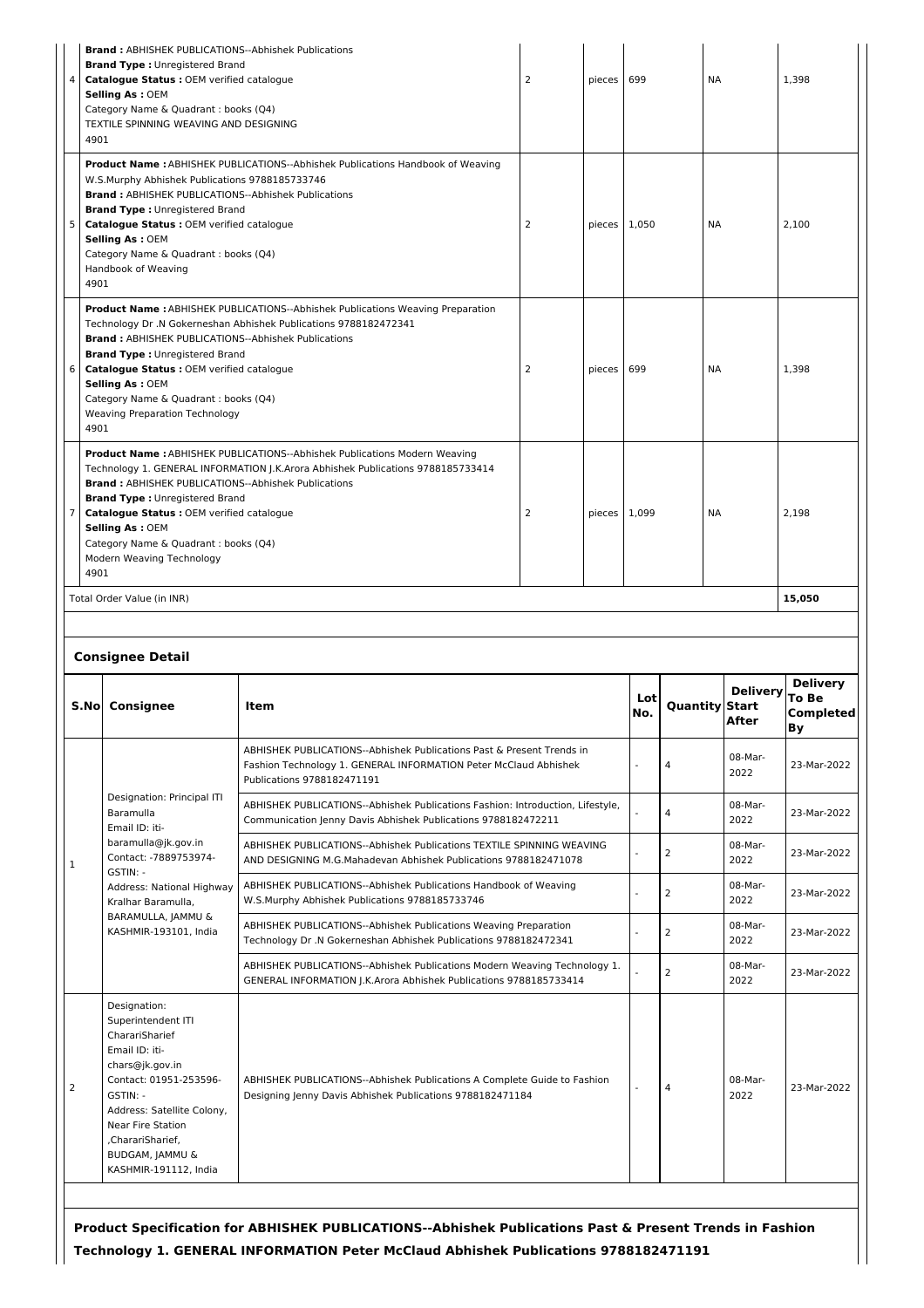| $\overline{4}$ | <b>Brand: ABHISHEK PUBLICATIONS--Abhishek Publications</b><br><b>Brand Type: Unregistered Brand</b><br>Catalogue Status : OEM verified catalogue<br><b>Selling As: OEM</b><br>Category Name & Quadrant : books (Q4)<br>TEXTILE SPINNING WEAVING AND DESIGNING<br>4901                                                                                                                                                                                             |                                                                                                                                                                         |  |              | 699        |                | <b>NA</b>                                         | 1,398                          |
|----------------|-------------------------------------------------------------------------------------------------------------------------------------------------------------------------------------------------------------------------------------------------------------------------------------------------------------------------------------------------------------------------------------------------------------------------------------------------------------------|-------------------------------------------------------------------------------------------------------------------------------------------------------------------------|--|--------------|------------|----------------|---------------------------------------------------|--------------------------------|
| 5              | <b>Product Name:</b> ABHISHEK PUBLICATIONS--Abhishek Publications Handbook of Weaving<br>W.S.Murphy Abhishek Publications 9788185733746<br><b>Brand: ABHISHEK PUBLICATIONS--Abhishek Publications</b><br><b>Brand Type: Unregistered Brand</b><br>2<br>Catalogue Status : OEM verified catalogue<br><b>Selling As: OEM</b><br>Category Name & Quadrant : books (Q4)<br>Handbook of Weaving<br>4901                                                                |                                                                                                                                                                         |  | pieces 1,050 |            |                | ΝA                                                | 2,100                          |
| 6              | <b>Product Name: ABHISHEK PUBLICATIONS--Abhishek Publications Weaving Preparation</b><br>Technology Dr .N Gokerneshan Abhishek Publications 9788182472341<br><b>Brand: ABHISHEK PUBLICATIONS--Abhishek Publications</b><br><b>Brand Type: Unregistered Brand</b><br>Catalogue Status : OEM verified catalogue<br><b>Selling As: OEM</b><br>Category Name & Quadrant : books (Q4)<br><b>Weaving Preparation Technology</b>                                         |                                                                                                                                                                         |  | pieces       | 699        |                | <b>NA</b>                                         | 1,398                          |
| 7<br>4901      | 4901<br><b>Product Name:</b> ABHISHEK PUBLICATIONS--Abhishek Publications Modern Weaving<br>Technology 1. GENERAL INFORMATION J.K.Arora Abhishek Publications 9788185733414<br><b>Brand: ABHISHEK PUBLICATIONS--Abhishek Publications</b><br><b>Brand Type: Unregistered Brand</b><br>Catalogue Status : OEM verified catalogue<br>2<br>pieces 1,099<br><b>NA</b><br><b>Selling As: OEM</b><br>Category Name & Quadrant : books (Q4)<br>Modern Weaving Technology |                                                                                                                                                                         |  |              |            | 2,198          |                                                   |                                |
|                |                                                                                                                                                                                                                                                                                                                                                                                                                                                                   |                                                                                                                                                                         |  |              |            |                |                                                   | 15,050                         |
|                | Total Order Value (in INR)                                                                                                                                                                                                                                                                                                                                                                                                                                        |                                                                                                                                                                         |  |              |            |                |                                                   |                                |
|                |                                                                                                                                                                                                                                                                                                                                                                                                                                                                   |                                                                                                                                                                         |  |              |            |                |                                                   |                                |
|                |                                                                                                                                                                                                                                                                                                                                                                                                                                                                   |                                                                                                                                                                         |  |              |            |                |                                                   |                                |
|                | <b>Consignee Detail</b><br>S.No Consignee                                                                                                                                                                                                                                                                                                                                                                                                                         | Item                                                                                                                                                                    |  |              | Lot<br>No. |                | <b>Delivery</b><br><b>Quantity Start</b><br>After | <b>Delivery</b><br>To Be<br>Вy |
|                |                                                                                                                                                                                                                                                                                                                                                                                                                                                                   | ABHISHEK PUBLICATIONS--Abhishek Publications Past & Present Trends in<br>Fashion Technology 1. GENERAL INFORMATION Peter McClaud Abhishek<br>Publications 9788182471191 |  |              |            | 4              | 08-Mar-<br>2022                                   | 23-Mar-2022                    |
|                | Designation: Principal ITI<br>Baramulla<br>Email ID: iti-                                                                                                                                                                                                                                                                                                                                                                                                         | ABHISHEK PUBLICATIONS--Abhishek Publications Fashion: Introduction, Lifestyle,<br>Communication Jenny Davis Abhishek Publications 9788182472211                         |  |              |            | 4              | 08-Mar-<br>2022                                   | 23-Mar-2022                    |
| 1              | baramulla@jk.gov.in<br>Contact: -7889753974-<br>GSTIN: -                                                                                                                                                                                                                                                                                                                                                                                                          | ABHISHEK PUBLICATIONS--Abhishek Publications TEXTILE SPINNING WEAVING<br>AND DESIGNING M.G.Mahadevan Abhishek Publications 9788182471078                                |  |              |            | $\overline{2}$ | 08-Mar-<br>2022                                   | 23-Mar-2022                    |
|                | Address: National Highway<br>Kralhar Baramulla,                                                                                                                                                                                                                                                                                                                                                                                                                   | ABHISHEK PUBLICATIONS--Abhishek Publications Handbook of Weaving<br>W.S.Murphy Abhishek Publications 9788185733746                                                      |  |              |            | 2              | 08-Mar-<br>2022                                   | Completed<br>23-Mar-2022       |
|                | BARAMULLA, JAMMU &<br>KASHMIR-193101, India                                                                                                                                                                                                                                                                                                                                                                                                                       | ABHISHEK PUBLICATIONS--Abhishek Publications Weaving Preparation<br>Technology Dr .N Gokerneshan Abhishek Publications 9788182472341                                    |  |              |            | 2              | $08-Mar-$<br>2022                                 | 23-Mar-2022                    |
|                |                                                                                                                                                                                                                                                                                                                                                                                                                                                                   | ABHISHEK PUBLICATIONS--Abhishek Publications Modern Weaving Technology 1.<br>GENERAL INFORMATION J.K.Arora Abhishek Publications 9788185733414                          |  |              |            | 2              | 08-Mar-<br>2022                                   | 23-Mar-2022                    |

**Technology 1. GENERAL INFORMATION Peter McClaud Abhishek Publications 9788182471191**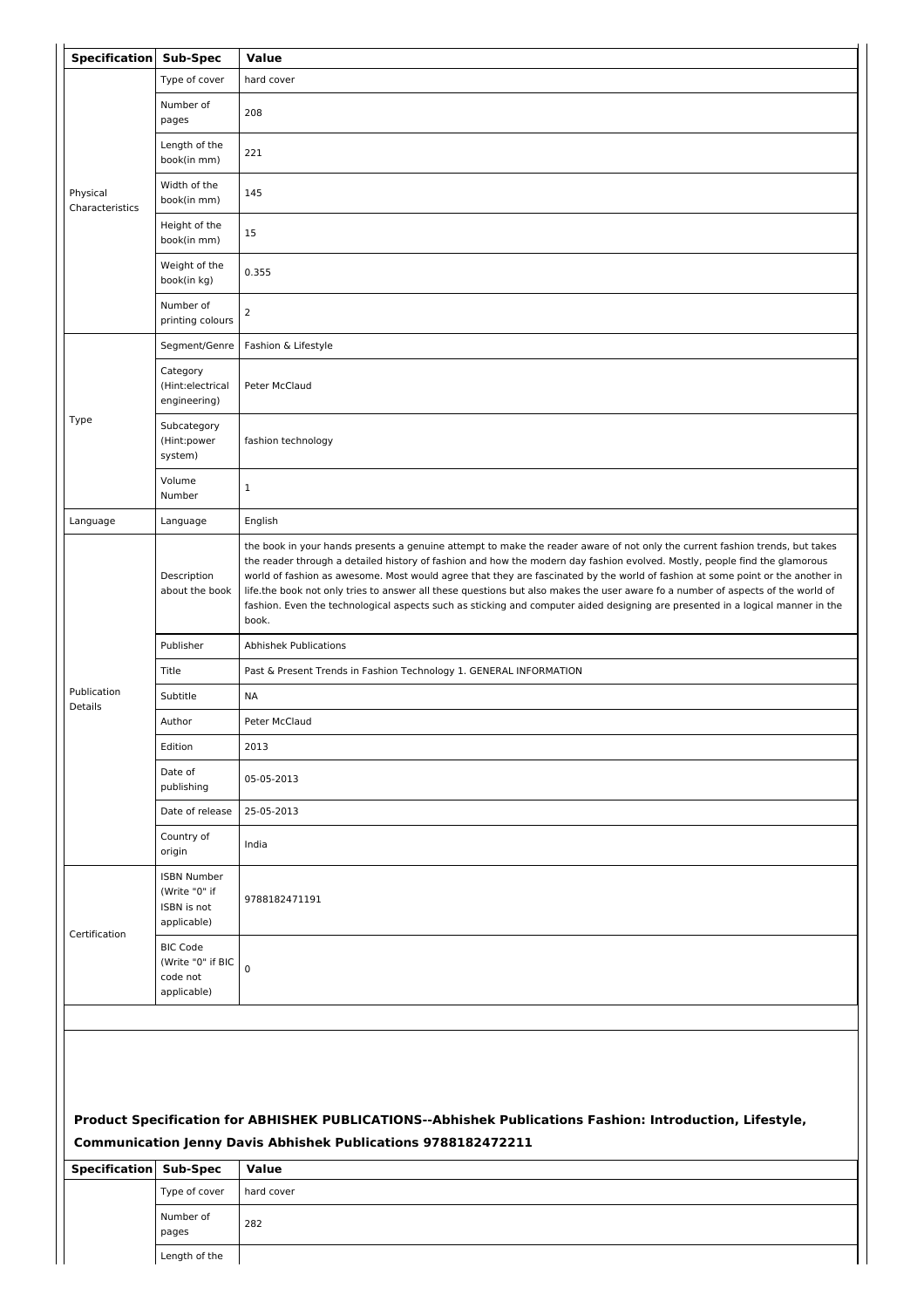| <b>Specification</b>        | <b>Sub-Spec</b>                                                   | Value                                                                                                                                                                                                                                                                                                                                                                                                                                                                                                                                                                                                                                                                      |
|-----------------------------|-------------------------------------------------------------------|----------------------------------------------------------------------------------------------------------------------------------------------------------------------------------------------------------------------------------------------------------------------------------------------------------------------------------------------------------------------------------------------------------------------------------------------------------------------------------------------------------------------------------------------------------------------------------------------------------------------------------------------------------------------------|
|                             | Type of cover                                                     | hard cover                                                                                                                                                                                                                                                                                                                                                                                                                                                                                                                                                                                                                                                                 |
|                             | Number of<br>pages                                                | 208                                                                                                                                                                                                                                                                                                                                                                                                                                                                                                                                                                                                                                                                        |
|                             | Length of the<br>book(in mm)                                      | 221                                                                                                                                                                                                                                                                                                                                                                                                                                                                                                                                                                                                                                                                        |
| Physical<br>Characteristics | Width of the<br>book(in mm)                                       | 145                                                                                                                                                                                                                                                                                                                                                                                                                                                                                                                                                                                                                                                                        |
|                             | Height of the<br>book(in mm)                                      | 15                                                                                                                                                                                                                                                                                                                                                                                                                                                                                                                                                                                                                                                                         |
|                             | Weight of the<br>book(in kg)                                      | 0.355                                                                                                                                                                                                                                                                                                                                                                                                                                                                                                                                                                                                                                                                      |
|                             | Number of<br>printing colours                                     | $\overline{2}$                                                                                                                                                                                                                                                                                                                                                                                                                                                                                                                                                                                                                                                             |
|                             | Segment/Genre                                                     | Fashion & Lifestyle                                                                                                                                                                                                                                                                                                                                                                                                                                                                                                                                                                                                                                                        |
|                             | Category<br>(Hint:electrical<br>engineering)                      | Peter McClaud                                                                                                                                                                                                                                                                                                                                                                                                                                                                                                                                                                                                                                                              |
| Type                        | Subcategory<br>(Hint:power<br>system)                             | fashion technology                                                                                                                                                                                                                                                                                                                                                                                                                                                                                                                                                                                                                                                         |
|                             | Volume<br>Number                                                  | $\mathbf{1}$                                                                                                                                                                                                                                                                                                                                                                                                                                                                                                                                                                                                                                                               |
| Language                    | Language                                                          | English                                                                                                                                                                                                                                                                                                                                                                                                                                                                                                                                                                                                                                                                    |
|                             | Description<br>about the book                                     | the book in your hands presents a genuine attempt to make the reader aware of not only the current fashion trends, but takes<br>the reader through a detailed history of fashion and how the modern day fashion evolved. Mostly, people find the glamorous<br>world of fashion as awesome. Most would agree that they are fascinated by the world of fashion at some point or the another in<br>life.the book not only tries to answer all these questions but also makes the user aware fo a number of aspects of the world of<br>fashion. Even the technological aspects such as sticking and computer aided designing are presented in a logical manner in the<br>book. |
|                             | Publisher                                                         | <b>Abhishek Publications</b>                                                                                                                                                                                                                                                                                                                                                                                                                                                                                                                                                                                                                                               |
|                             | Title                                                             | Past & Present Trends in Fashion Technology 1. GENERAL INFORMATION                                                                                                                                                                                                                                                                                                                                                                                                                                                                                                                                                                                                         |
| Publication                 | Subtitle                                                          | <b>NA</b>                                                                                                                                                                                                                                                                                                                                                                                                                                                                                                                                                                                                                                                                  |
| Details                     | Author                                                            | Peter McClaud                                                                                                                                                                                                                                                                                                                                                                                                                                                                                                                                                                                                                                                              |
|                             | Edition                                                           | 2013                                                                                                                                                                                                                                                                                                                                                                                                                                                                                                                                                                                                                                                                       |
|                             | Date of<br>publishing                                             | 05-05-2013                                                                                                                                                                                                                                                                                                                                                                                                                                                                                                                                                                                                                                                                 |
|                             | Date of release                                                   | 25-05-2013                                                                                                                                                                                                                                                                                                                                                                                                                                                                                                                                                                                                                                                                 |
|                             | Country of<br>origin                                              | India                                                                                                                                                                                                                                                                                                                                                                                                                                                                                                                                                                                                                                                                      |
| Certification               | <b>ISBN Number</b><br>(Write "0" if<br>ISBN is not<br>applicable) | 9788182471191                                                                                                                                                                                                                                                                                                                                                                                                                                                                                                                                                                                                                                                              |
|                             | <b>BIC Code</b><br>(Write "0" if BIC<br>code not<br>applicable)   | $\pmb{0}$                                                                                                                                                                                                                                                                                                                                                                                                                                                                                                                                                                                                                                                                  |
|                             |                                                                   |                                                                                                                                                                                                                                                                                                                                                                                                                                                                                                                                                                                                                                                                            |
|                             |                                                                   |                                                                                                                                                                                                                                                                                                                                                                                                                                                                                                                                                                                                                                                                            |
|                             |                                                                   |                                                                                                                                                                                                                                                                                                                                                                                                                                                                                                                                                                                                                                                                            |
|                             |                                                                   |                                                                                                                                                                                                                                                                                                                                                                                                                                                                                                                                                                                                                                                                            |
|                             |                                                                   | Product Specification for ABHISHEK PUBLICATIONS--Abhishek Publications Fashion: Introduction, Lifestyle,<br>Communication Jenny Davis Abhishek Publications 9788182472211                                                                                                                                                                                                                                                                                                                                                                                                                                                                                                  |
| Specification               | Sub-Spec                                                          | Value                                                                                                                                                                                                                                                                                                                                                                                                                                                                                                                                                                                                                                                                      |
|                             |                                                                   |                                                                                                                                                                                                                                                                                                                                                                                                                                                                                                                                                                                                                                                                            |

| Type of cover      | hard cover |
|--------------------|------------|
| Number of<br>pages | 282        |
| Length of the      |            |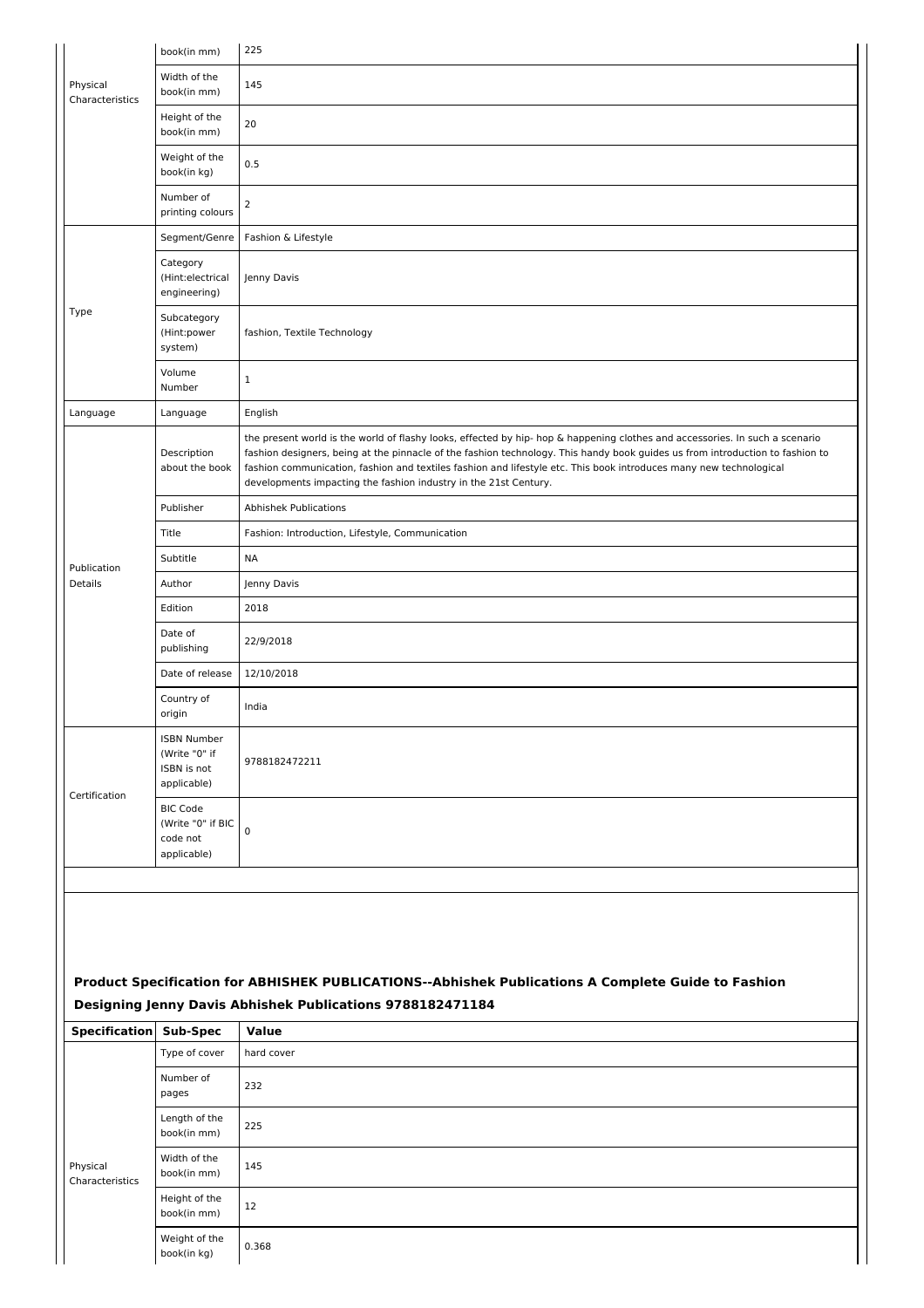|                             | book(in mm)                                                       | 225                                                                                                                                                                                                                                                                                                                                                                                                                                                     |
|-----------------------------|-------------------------------------------------------------------|---------------------------------------------------------------------------------------------------------------------------------------------------------------------------------------------------------------------------------------------------------------------------------------------------------------------------------------------------------------------------------------------------------------------------------------------------------|
| Physical<br>Characteristics | Width of the<br>book(in mm)                                       | 145                                                                                                                                                                                                                                                                                                                                                                                                                                                     |
|                             | Height of the<br>book(in mm)                                      | 20                                                                                                                                                                                                                                                                                                                                                                                                                                                      |
|                             | Weight of the<br>book(in kg)                                      | 0.5                                                                                                                                                                                                                                                                                                                                                                                                                                                     |
|                             | Number of<br>printing colours                                     | $\overline{2}$                                                                                                                                                                                                                                                                                                                                                                                                                                          |
|                             | Segment/Genre                                                     | Fashion & Lifestyle                                                                                                                                                                                                                                                                                                                                                                                                                                     |
|                             | Category<br>(Hint:electrical<br>engineering)                      | Jenny Davis                                                                                                                                                                                                                                                                                                                                                                                                                                             |
| Type                        | Subcategory<br>(Hint:power<br>system)                             | fashion, Textile Technology                                                                                                                                                                                                                                                                                                                                                                                                                             |
|                             | Volume<br>Number                                                  | $\mathbf{1}$                                                                                                                                                                                                                                                                                                                                                                                                                                            |
| Language                    | Language                                                          | English                                                                                                                                                                                                                                                                                                                                                                                                                                                 |
|                             | Description<br>about the book                                     | the present world is the world of flashy looks, effected by hip- hop & happening clothes and accessories. In such a scenario<br>fashion designers, being at the pinnacle of the fashion technology. This handy book guides us from introduction to fashion to<br>fashion communication, fashion and textiles fashion and lifestyle etc. This book introduces many new technological<br>developments impacting the fashion industry in the 21st Century. |
|                             | Publisher                                                         | <b>Abhishek Publications</b>                                                                                                                                                                                                                                                                                                                                                                                                                            |
|                             | Title                                                             | Fashion: Introduction, Lifestyle, Communication                                                                                                                                                                                                                                                                                                                                                                                                         |
|                             | Subtitle                                                          | <b>NA</b>                                                                                                                                                                                                                                                                                                                                                                                                                                               |
| Publication<br>Details      | Author                                                            | Jenny Davis                                                                                                                                                                                                                                                                                                                                                                                                                                             |
|                             | Edition                                                           | 2018                                                                                                                                                                                                                                                                                                                                                                                                                                                    |
|                             | Date of<br>publishing                                             | 22/9/2018                                                                                                                                                                                                                                                                                                                                                                                                                                               |
|                             | Date of release                                                   | 12/10/2018                                                                                                                                                                                                                                                                                                                                                                                                                                              |
|                             | Country of<br>origin                                              | India                                                                                                                                                                                                                                                                                                                                                                                                                                                   |
| Certification               | <b>ISBN Number</b><br>(Write "0" if<br>ISBN is not<br>applicable) | 9788182472211                                                                                                                                                                                                                                                                                                                                                                                                                                           |
|                             | <b>BIC Code</b><br>(Write "0" if BIC<br>code not<br>applicable)   | $\mathbf 0$                                                                                                                                                                                                                                                                                                                                                                                                                                             |
|                             |                                                                   |                                                                                                                                                                                                                                                                                                                                                                                                                                                         |
|                             |                                                                   | Product Specification for ABHISHEK PUBLICATIONS--Abhishek Publications A Complete Guide to Fashion<br>Designing Jenny Davis Abhishek Publications 9788182471184                                                                                                                                                                                                                                                                                         |
| <b>Specification</b>        | <b>Sub-Spec</b>                                                   | Value                                                                                                                                                                                                                                                                                                                                                                                                                                                   |
|                             | Type of cover<br>Number of                                        | hard cover<br>232                                                                                                                                                                                                                                                                                                                                                                                                                                       |
|                             | pages<br>Length of the<br>book(in mm)                             | 225                                                                                                                                                                                                                                                                                                                                                                                                                                                     |
| Physical<br>Characteristics | Width of the<br>book(in mm)                                       | 145                                                                                                                                                                                                                                                                                                                                                                                                                                                     |
|                             | Height of the<br>book(in mm)                                      | 12                                                                                                                                                                                                                                                                                                                                                                                                                                                      |
|                             | Weight of the<br>book(in kg)                                      | 0.368                                                                                                                                                                                                                                                                                                                                                                                                                                                   |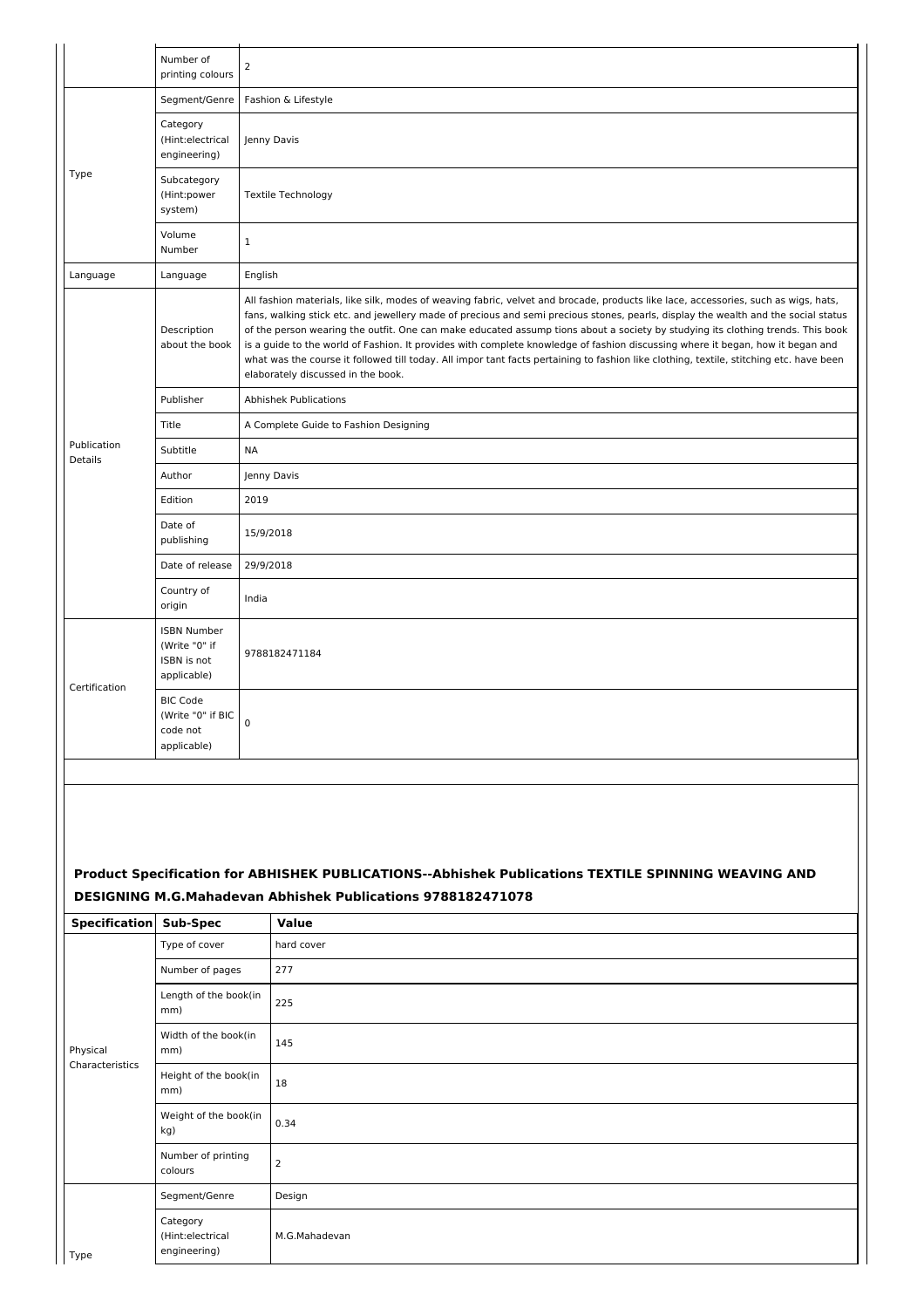|                                                      | Number of<br>printing colours                                     | $\overline{2}$                                                                                                                                                                                                                                                                                                                                                                                                                                                                                                                                                                                                                                                                                                                  |
|------------------------------------------------------|-------------------------------------------------------------------|---------------------------------------------------------------------------------------------------------------------------------------------------------------------------------------------------------------------------------------------------------------------------------------------------------------------------------------------------------------------------------------------------------------------------------------------------------------------------------------------------------------------------------------------------------------------------------------------------------------------------------------------------------------------------------------------------------------------------------|
|                                                      | Segment/Genre                                                     | Fashion & Lifestyle                                                                                                                                                                                                                                                                                                                                                                                                                                                                                                                                                                                                                                                                                                             |
|                                                      |                                                                   |                                                                                                                                                                                                                                                                                                                                                                                                                                                                                                                                                                                                                                                                                                                                 |
|                                                      | Category<br>(Hint:electrical<br>engineering)                      | Jenny Davis                                                                                                                                                                                                                                                                                                                                                                                                                                                                                                                                                                                                                                                                                                                     |
| Type                                                 | Subcategory<br>(Hint:power<br>system)                             | <b>Textile Technology</b>                                                                                                                                                                                                                                                                                                                                                                                                                                                                                                                                                                                                                                                                                                       |
|                                                      | Volume<br>Number                                                  | $\mathbf{1}$                                                                                                                                                                                                                                                                                                                                                                                                                                                                                                                                                                                                                                                                                                                    |
| Language                                             | Language                                                          | English                                                                                                                                                                                                                                                                                                                                                                                                                                                                                                                                                                                                                                                                                                                         |
|                                                      | Description<br>about the book                                     | All fashion materials, like silk, modes of weaving fabric, velvet and brocade, products like lace, accessories, such as wigs, hats,<br>fans, walking stick etc. and jewellery made of precious and semi precious stones, pearls, display the wealth and the social status<br>of the person wearing the outfit. One can make educated assump tions about a society by studying its clothing trends. This book<br>is a guide to the world of Fashion. It provides with complete knowledge of fashion discussing where it began, how it began and<br>what was the course it followed till today. All impor tant facts pertaining to fashion like clothing, textile, stitching etc. have been<br>elaborately discussed in the book. |
|                                                      | Publisher                                                         | <b>Abhishek Publications</b>                                                                                                                                                                                                                                                                                                                                                                                                                                                                                                                                                                                                                                                                                                    |
|                                                      | Title                                                             | A Complete Guide to Fashion Designing                                                                                                                                                                                                                                                                                                                                                                                                                                                                                                                                                                                                                                                                                           |
| Publication<br>Details                               | Subtitle                                                          | <b>NA</b>                                                                                                                                                                                                                                                                                                                                                                                                                                                                                                                                                                                                                                                                                                                       |
|                                                      | Author                                                            | Jenny Davis                                                                                                                                                                                                                                                                                                                                                                                                                                                                                                                                                                                                                                                                                                                     |
|                                                      | Edition                                                           | 2019                                                                                                                                                                                                                                                                                                                                                                                                                                                                                                                                                                                                                                                                                                                            |
|                                                      | Date of<br>publishing                                             | 15/9/2018                                                                                                                                                                                                                                                                                                                                                                                                                                                                                                                                                                                                                                                                                                                       |
|                                                      | Date of release                                                   | 29/9/2018                                                                                                                                                                                                                                                                                                                                                                                                                                                                                                                                                                                                                                                                                                                       |
|                                                      | Country of<br>origin                                              | India                                                                                                                                                                                                                                                                                                                                                                                                                                                                                                                                                                                                                                                                                                                           |
| Certification                                        | <b>ISBN Number</b><br>(Write "0" if<br>ISBN is not<br>applicable) | 9788182471184                                                                                                                                                                                                                                                                                                                                                                                                                                                                                                                                                                                                                                                                                                                   |
|                                                      | <b>BIC Code</b><br>(Write "0" if BIC<br>code not<br>applicable)   | $\pmb{0}$                                                                                                                                                                                                                                                                                                                                                                                                                                                                                                                                                                                                                                                                                                                       |
|                                                      |                                                                   |                                                                                                                                                                                                                                                                                                                                                                                                                                                                                                                                                                                                                                                                                                                                 |
| <b>Specification</b>                                 | Sub-Spec                                                          | Product Specification for ABHISHEK PUBLICATIONS--Abhishek Publications TEXTILE SPINNING WEAVING AND<br><b>DESIGNING M.G.Mahadevan Abhishek Publications 9788182471078</b><br><b>Value</b>                                                                                                                                                                                                                                                                                                                                                                                                                                                                                                                                       |
|                                                      | Type of cover                                                     | hard cover                                                                                                                                                                                                                                                                                                                                                                                                                                                                                                                                                                                                                                                                                                                      |
|                                                      | Number of pages                                                   | 277                                                                                                                                                                                                                                                                                                                                                                                                                                                                                                                                                                                                                                                                                                                             |
|                                                      | Length of the book(in<br>mm)                                      | 225                                                                                                                                                                                                                                                                                                                                                                                                                                                                                                                                                                                                                                                                                                                             |
| Physical                                             | Width of the book(in<br>mm)                                       | 145                                                                                                                                                                                                                                                                                                                                                                                                                                                                                                                                                                                                                                                                                                                             |
| Characteristics                                      | Height of the book(in<br>mm)                                      | 18                                                                                                                                                                                                                                                                                                                                                                                                                                                                                                                                                                                                                                                                                                                              |
|                                                      | Weight of the book(in<br>kg)                                      | 0.34                                                                                                                                                                                                                                                                                                                                                                                                                                                                                                                                                                                                                                                                                                                            |
|                                                      | Number of printing<br>colours                                     | 2                                                                                                                                                                                                                                                                                                                                                                                                                                                                                                                                                                                                                                                                                                                               |
|                                                      | Segment/Genre                                                     | Design                                                                                                                                                                                                                                                                                                                                                                                                                                                                                                                                                                                                                                                                                                                          |
| Category<br>(Hint:electrical<br>engineering)<br>Type |                                                                   | M.G.Mahadevan                                                                                                                                                                                                                                                                                                                                                                                                                                                                                                                                                                                                                                                                                                                   |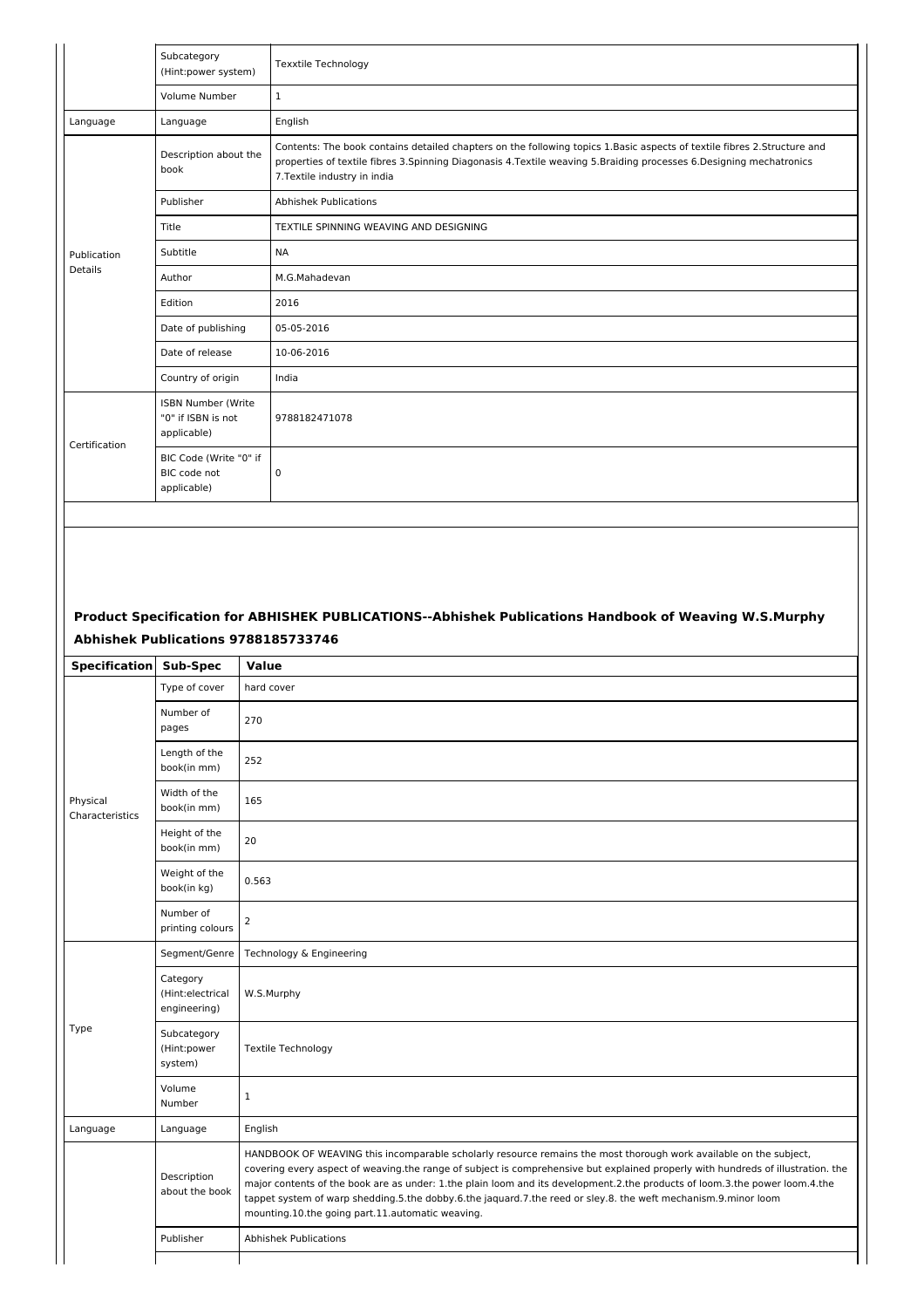|               | Subcategory<br>(Hint:power system)                             | <b>Texxtile Technology</b>                                                                                                                                                                                                                                                        |
|---------------|----------------------------------------------------------------|-----------------------------------------------------------------------------------------------------------------------------------------------------------------------------------------------------------------------------------------------------------------------------------|
|               | Volume Number                                                  | $\mathbf{1}$                                                                                                                                                                                                                                                                      |
| Language      | Language                                                       | English                                                                                                                                                                                                                                                                           |
|               | Description about the<br>book                                  | Contents: The book contains detailed chapters on the following topics 1.Basic aspects of textile fibres 2.Structure and<br>properties of textile fibres 3. Spinning Diagonasis 4. Textile weaving 5. Braiding processes 6. Designing mechatronics<br>7. Textile industry in india |
|               | Publisher                                                      | <b>Abhishek Publications</b>                                                                                                                                                                                                                                                      |
|               | Title                                                          | TEXTILE SPINNING WEAVING AND DESIGNING                                                                                                                                                                                                                                            |
| Publication   | Subtitle                                                       | <b>NA</b>                                                                                                                                                                                                                                                                         |
| Details       | Author                                                         | M.G.Mahadevan                                                                                                                                                                                                                                                                     |
|               | Edition                                                        | 2016                                                                                                                                                                                                                                                                              |
|               | Date of publishing                                             | 05-05-2016                                                                                                                                                                                                                                                                        |
|               | Date of release                                                | 10-06-2016                                                                                                                                                                                                                                                                        |
|               | Country of origin                                              | India                                                                                                                                                                                                                                                                             |
| Certification | <b>ISBN Number (Write</b><br>"0" if ISBN is not<br>applicable) | 9788182471078                                                                                                                                                                                                                                                                     |
|               | BIC Code (Write "0" if<br>BIC code not<br>applicable)          | 0                                                                                                                                                                                                                                                                                 |

# **Product Specification for ABHISHEK PUBLICATIONS--Abhishek Publications Handbook of Weaving W.S.Murphy Abhishek Publications 9788185733746**

| <b>Specification</b>        | Sub-Spec                                     | <b>Value</b>                                                                                                                                                                                                                                                                                                                                                                                                                                                                                                                                               |
|-----------------------------|----------------------------------------------|------------------------------------------------------------------------------------------------------------------------------------------------------------------------------------------------------------------------------------------------------------------------------------------------------------------------------------------------------------------------------------------------------------------------------------------------------------------------------------------------------------------------------------------------------------|
|                             | Type of cover                                | hard cover                                                                                                                                                                                                                                                                                                                                                                                                                                                                                                                                                 |
|                             | Number of<br>pages                           | 270                                                                                                                                                                                                                                                                                                                                                                                                                                                                                                                                                        |
|                             | Length of the<br>book(in mm)                 | 252                                                                                                                                                                                                                                                                                                                                                                                                                                                                                                                                                        |
| Physical<br>Characteristics | Width of the<br>book(in mm)                  | 165                                                                                                                                                                                                                                                                                                                                                                                                                                                                                                                                                        |
|                             | Height of the<br>book(in mm)                 | 20                                                                                                                                                                                                                                                                                                                                                                                                                                                                                                                                                         |
|                             | Weight of the<br>book(in kg)                 | 0.563                                                                                                                                                                                                                                                                                                                                                                                                                                                                                                                                                      |
|                             | Number of<br>printing colours                | 2                                                                                                                                                                                                                                                                                                                                                                                                                                                                                                                                                          |
|                             | Segment/Genre                                | Technology & Engineering                                                                                                                                                                                                                                                                                                                                                                                                                                                                                                                                   |
|                             | Category<br>(Hint:electrical<br>engineering) | W.S.Murphy                                                                                                                                                                                                                                                                                                                                                                                                                                                                                                                                                 |
| Type                        | Subcategory<br>(Hint:power<br>system)        | Textile Technology                                                                                                                                                                                                                                                                                                                                                                                                                                                                                                                                         |
|                             | Volume<br>Number                             | 1                                                                                                                                                                                                                                                                                                                                                                                                                                                                                                                                                          |
| Language                    | Language                                     | English                                                                                                                                                                                                                                                                                                                                                                                                                                                                                                                                                    |
|                             | Description<br>about the book                | HANDBOOK OF WEAVING this incomparable scholarly resource remains the most thorough work available on the subject,<br>covering every aspect of weaving.the range of subject is comprehensive but explained properly with hundreds of illustration. the<br>major contents of the book are as under: 1.the plain loom and its development.2.the products of loom.3.the power loom.4.the<br>tappet system of warp shedding.5.the dobby.6.the jaquard.7.the reed or sley.8. the weft mechanism.9.minor loom<br>mounting.10.the going part.11.automatic weaving. |
|                             | Publisher                                    | <b>Abhishek Publications</b>                                                                                                                                                                                                                                                                                                                                                                                                                                                                                                                               |
|                             |                                              |                                                                                                                                                                                                                                                                                                                                                                                                                                                                                                                                                            |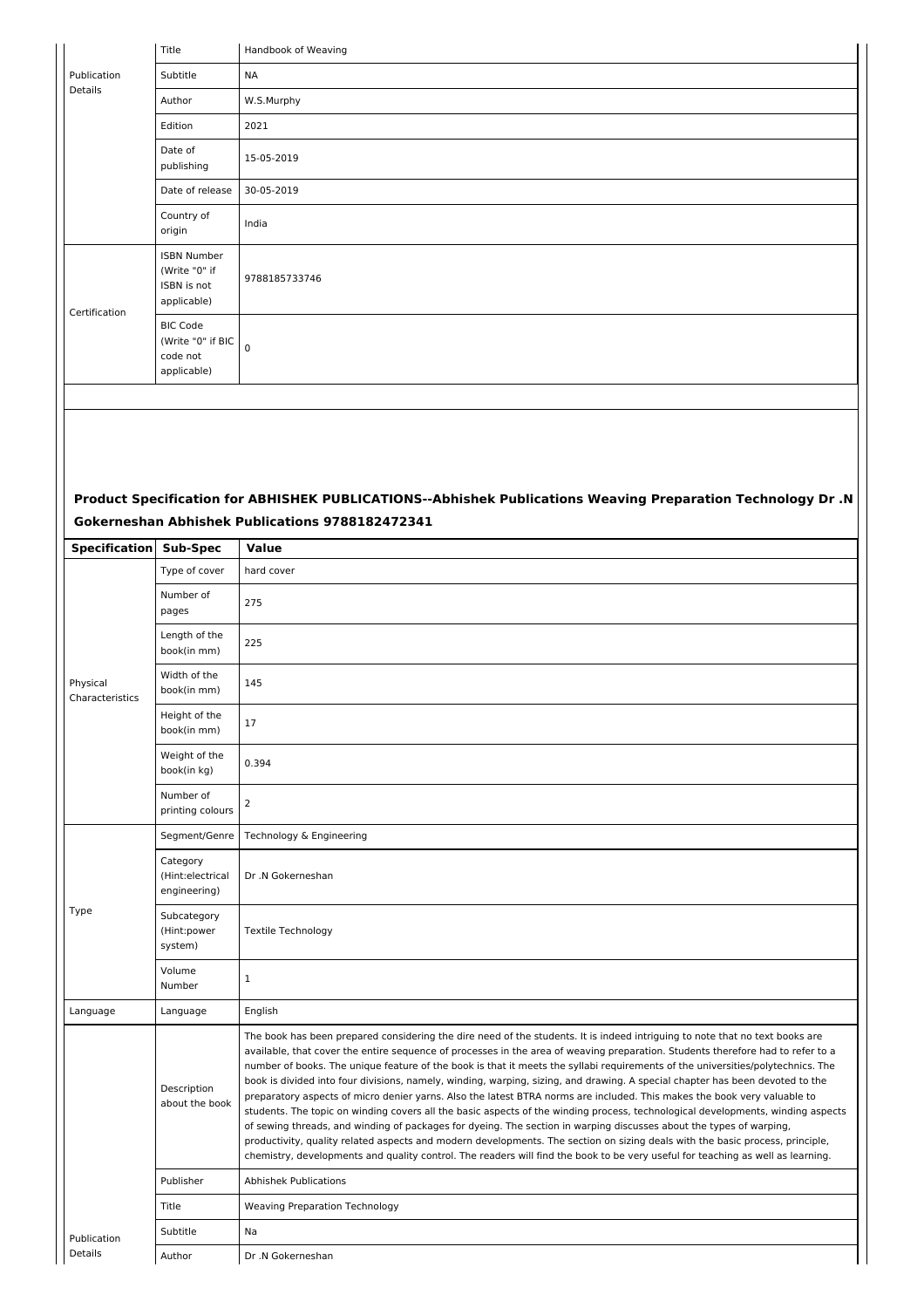|                             | Title                                                             | Handbook of Weaving                                                                                                                                                                                                                                                                                                                                                                                                                                                                                                                                                                                                                                                                                                                                                                                                                                                                                                                                                                                                                                                                                                                                                                           |
|-----------------------------|-------------------------------------------------------------------|-----------------------------------------------------------------------------------------------------------------------------------------------------------------------------------------------------------------------------------------------------------------------------------------------------------------------------------------------------------------------------------------------------------------------------------------------------------------------------------------------------------------------------------------------------------------------------------------------------------------------------------------------------------------------------------------------------------------------------------------------------------------------------------------------------------------------------------------------------------------------------------------------------------------------------------------------------------------------------------------------------------------------------------------------------------------------------------------------------------------------------------------------------------------------------------------------|
| Publication                 | Subtitle                                                          | <b>NA</b>                                                                                                                                                                                                                                                                                                                                                                                                                                                                                                                                                                                                                                                                                                                                                                                                                                                                                                                                                                                                                                                                                                                                                                                     |
| <b>Details</b>              | Author                                                            | W.S.Murphy                                                                                                                                                                                                                                                                                                                                                                                                                                                                                                                                                                                                                                                                                                                                                                                                                                                                                                                                                                                                                                                                                                                                                                                    |
|                             | Edition                                                           | 2021                                                                                                                                                                                                                                                                                                                                                                                                                                                                                                                                                                                                                                                                                                                                                                                                                                                                                                                                                                                                                                                                                                                                                                                          |
|                             | Date of<br>publishing                                             | 15-05-2019                                                                                                                                                                                                                                                                                                                                                                                                                                                                                                                                                                                                                                                                                                                                                                                                                                                                                                                                                                                                                                                                                                                                                                                    |
|                             | Date of release                                                   | 30-05-2019                                                                                                                                                                                                                                                                                                                                                                                                                                                                                                                                                                                                                                                                                                                                                                                                                                                                                                                                                                                                                                                                                                                                                                                    |
|                             | Country of<br>origin                                              | India                                                                                                                                                                                                                                                                                                                                                                                                                                                                                                                                                                                                                                                                                                                                                                                                                                                                                                                                                                                                                                                                                                                                                                                         |
| Certification               | <b>ISBN Number</b><br>(Write "0" if<br>ISBN is not<br>applicable) | 9788185733746                                                                                                                                                                                                                                                                                                                                                                                                                                                                                                                                                                                                                                                                                                                                                                                                                                                                                                                                                                                                                                                                                                                                                                                 |
|                             | <b>BIC Code</b><br>(Write "0" if BIC<br>code not<br>applicable)   | $\mathbf 0$                                                                                                                                                                                                                                                                                                                                                                                                                                                                                                                                                                                                                                                                                                                                                                                                                                                                                                                                                                                                                                                                                                                                                                                   |
|                             |                                                                   |                                                                                                                                                                                                                                                                                                                                                                                                                                                                                                                                                                                                                                                                                                                                                                                                                                                                                                                                                                                                                                                                                                                                                                                               |
|                             |                                                                   |                                                                                                                                                                                                                                                                                                                                                                                                                                                                                                                                                                                                                                                                                                                                                                                                                                                                                                                                                                                                                                                                                                                                                                                               |
|                             |                                                                   |                                                                                                                                                                                                                                                                                                                                                                                                                                                                                                                                                                                                                                                                                                                                                                                                                                                                                                                                                                                                                                                                                                                                                                                               |
|                             |                                                                   | Product Specification for ABHISHEK PUBLICATIONS--Abhishek Publications Weaving Preparation Technology Dr .N                                                                                                                                                                                                                                                                                                                                                                                                                                                                                                                                                                                                                                                                                                                                                                                                                                                                                                                                                                                                                                                                                   |
|                             |                                                                   | Gokerneshan Abhishek Publications 9788182472341                                                                                                                                                                                                                                                                                                                                                                                                                                                                                                                                                                                                                                                                                                                                                                                                                                                                                                                                                                                                                                                                                                                                               |
| Specification               | Sub-Spec<br>Type of cover                                         | Value<br>hard cover                                                                                                                                                                                                                                                                                                                                                                                                                                                                                                                                                                                                                                                                                                                                                                                                                                                                                                                                                                                                                                                                                                                                                                           |
|                             |                                                                   |                                                                                                                                                                                                                                                                                                                                                                                                                                                                                                                                                                                                                                                                                                                                                                                                                                                                                                                                                                                                                                                                                                                                                                                               |
|                             | Number of<br>pages                                                | 275                                                                                                                                                                                                                                                                                                                                                                                                                                                                                                                                                                                                                                                                                                                                                                                                                                                                                                                                                                                                                                                                                                                                                                                           |
|                             | Length of the<br>book(in mm)                                      | 225                                                                                                                                                                                                                                                                                                                                                                                                                                                                                                                                                                                                                                                                                                                                                                                                                                                                                                                                                                                                                                                                                                                                                                                           |
| Physical<br>Characteristics | Width of the<br>book(in mm)                                       | 145                                                                                                                                                                                                                                                                                                                                                                                                                                                                                                                                                                                                                                                                                                                                                                                                                                                                                                                                                                                                                                                                                                                                                                                           |
|                             | Height of the<br>book(in mm)                                      | 17                                                                                                                                                                                                                                                                                                                                                                                                                                                                                                                                                                                                                                                                                                                                                                                                                                                                                                                                                                                                                                                                                                                                                                                            |
|                             | Weight of the<br>book(in kg)                                      | 0.394                                                                                                                                                                                                                                                                                                                                                                                                                                                                                                                                                                                                                                                                                                                                                                                                                                                                                                                                                                                                                                                                                                                                                                                         |
|                             | Number of<br>printing colours                                     | $\overline{2}$                                                                                                                                                                                                                                                                                                                                                                                                                                                                                                                                                                                                                                                                                                                                                                                                                                                                                                                                                                                                                                                                                                                                                                                |
|                             | Segment/Genre                                                     | Technology & Engineering                                                                                                                                                                                                                                                                                                                                                                                                                                                                                                                                                                                                                                                                                                                                                                                                                                                                                                                                                                                                                                                                                                                                                                      |
|                             | Category<br>(Hint:electrical<br>engineering)                      | Dr .N Gokerneshan                                                                                                                                                                                                                                                                                                                                                                                                                                                                                                                                                                                                                                                                                                                                                                                                                                                                                                                                                                                                                                                                                                                                                                             |
| Type                        | Subcategory<br>(Hint:power<br>system)                             | <b>Textile Technology</b>                                                                                                                                                                                                                                                                                                                                                                                                                                                                                                                                                                                                                                                                                                                                                                                                                                                                                                                                                                                                                                                                                                                                                                     |
|                             | Volume<br>Number                                                  | $\mathbf{1}$                                                                                                                                                                                                                                                                                                                                                                                                                                                                                                                                                                                                                                                                                                                                                                                                                                                                                                                                                                                                                                                                                                                                                                                  |
| Language                    | Language                                                          | English                                                                                                                                                                                                                                                                                                                                                                                                                                                                                                                                                                                                                                                                                                                                                                                                                                                                                                                                                                                                                                                                                                                                                                                       |
|                             | Description<br>about the book                                     | The book has been prepared considering the dire need of the students. It is indeed intriguing to note that no text books are<br>available, that cover the entire sequence of processes in the area of weaving preparation. Students therefore had to refer to a<br>number of books. The unique feature of the book is that it meets the syllabi requirements of the universities/polytechnics. The<br>book is divided into four divisions, namely, winding, warping, sizing, and drawing. A special chapter has been devoted to the<br>preparatory aspects of micro denier yarns. Also the latest BTRA norms are included. This makes the book very valuable to<br>students. The topic on winding covers all the basic aspects of the winding process, technological developments, winding aspects<br>of sewing threads, and winding of packages for dyeing. The section in warping discusses about the types of warping,<br>productivity, quality related aspects and modern developments. The section on sizing deals with the basic process, principle,<br>chemistry, developments and quality control. The readers will find the book to be very useful for teaching as well as learning. |
|                             | Publisher                                                         | <b>Abhishek Publications</b>                                                                                                                                                                                                                                                                                                                                                                                                                                                                                                                                                                                                                                                                                                                                                                                                                                                                                                                                                                                                                                                                                                                                                                  |
|                             | Title                                                             | <b>Weaving Preparation Technology</b>                                                                                                                                                                                                                                                                                                                                                                                                                                                                                                                                                                                                                                                                                                                                                                                                                                                                                                                                                                                                                                                                                                                                                         |
| Publication                 | Subtitle                                                          | Na                                                                                                                                                                                                                                                                                                                                                                                                                                                                                                                                                                                                                                                                                                                                                                                                                                                                                                                                                                                                                                                                                                                                                                                            |
| Details                     | Author                                                            | Dr .N Gokerneshan                                                                                                                                                                                                                                                                                                                                                                                                                                                                                                                                                                                                                                                                                                                                                                                                                                                                                                                                                                                                                                                                                                                                                                             |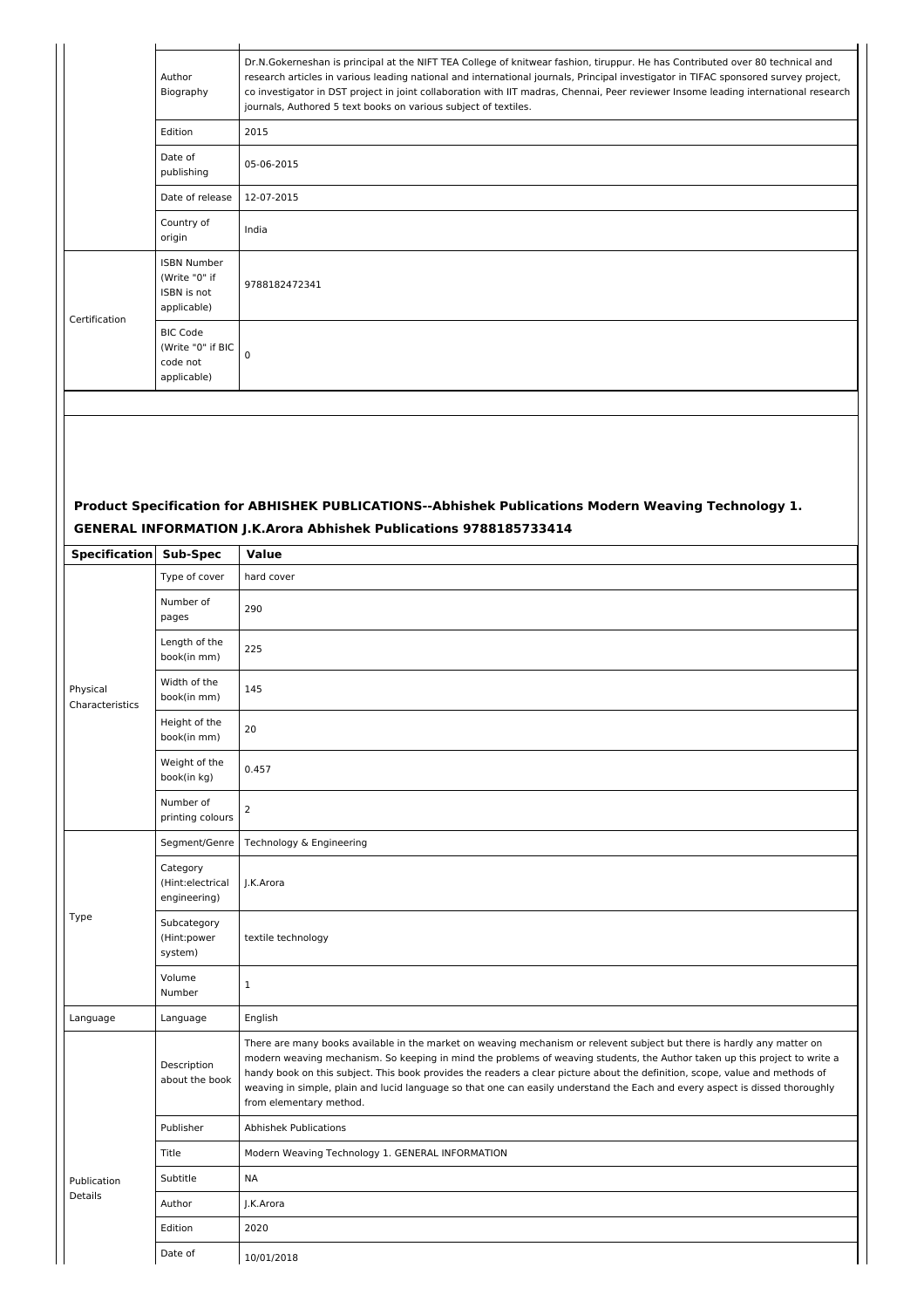|                             | Author<br>Biography                                               | Dr.N.Gokerneshan is principal at the NIFT TEA College of knitwear fashion, tiruppur. He has Contributed over 80 technical and<br>research articles in various leading national and international journals, Principal investigator in TIFAC sponsored survey project,<br>co investigator in DST project in joint collaboration with IIT madras, Chennai, Peer reviewer Insome leading international research<br>journals, Authored 5 text books on various subject of textiles.                                                                   |
|-----------------------------|-------------------------------------------------------------------|--------------------------------------------------------------------------------------------------------------------------------------------------------------------------------------------------------------------------------------------------------------------------------------------------------------------------------------------------------------------------------------------------------------------------------------------------------------------------------------------------------------------------------------------------|
|                             | Edition                                                           | 2015                                                                                                                                                                                                                                                                                                                                                                                                                                                                                                                                             |
|                             | Date of<br>publishing                                             | 05-06-2015                                                                                                                                                                                                                                                                                                                                                                                                                                                                                                                                       |
|                             | Date of release                                                   | 12-07-2015                                                                                                                                                                                                                                                                                                                                                                                                                                                                                                                                       |
|                             | Country of<br>origin                                              | India                                                                                                                                                                                                                                                                                                                                                                                                                                                                                                                                            |
| Certification               | <b>ISBN Number</b><br>(Write "0" if<br>ISBN is not<br>applicable) | 9788182472341                                                                                                                                                                                                                                                                                                                                                                                                                                                                                                                                    |
|                             | <b>BIC Code</b><br>(Write "0" if BIC<br>code not<br>applicable)   | $\mathbf 0$                                                                                                                                                                                                                                                                                                                                                                                                                                                                                                                                      |
|                             |                                                                   |                                                                                                                                                                                                                                                                                                                                                                                                                                                                                                                                                  |
|                             |                                                                   | Product Specification for ABHISHEK PUBLICATIONS--Abhishek Publications Modern Weaving Technology 1.<br>GENERAL INFORMATION J.K.Arora Abhishek Publications 9788185733414                                                                                                                                                                                                                                                                                                                                                                         |
| <b>Specification</b>        | <b>Sub-Spec</b>                                                   | Value                                                                                                                                                                                                                                                                                                                                                                                                                                                                                                                                            |
|                             | Type of cover<br>Number of<br>pages                               | hard cover<br>290                                                                                                                                                                                                                                                                                                                                                                                                                                                                                                                                |
|                             | Length of the<br>book(in mm)                                      | 225                                                                                                                                                                                                                                                                                                                                                                                                                                                                                                                                              |
| Physical<br>Characteristics | Width of the<br>book(in mm)                                       | 145                                                                                                                                                                                                                                                                                                                                                                                                                                                                                                                                              |
|                             | Height of the<br>book(in mm)                                      | 20                                                                                                                                                                                                                                                                                                                                                                                                                                                                                                                                               |
|                             | Weight of the<br>book(in kg)                                      | 0.457                                                                                                                                                                                                                                                                                                                                                                                                                                                                                                                                            |
|                             | Number of<br>printing colours                                     | $\overline{2}$                                                                                                                                                                                                                                                                                                                                                                                                                                                                                                                                   |
|                             | Segment/Genre                                                     | Technology & Engineering                                                                                                                                                                                                                                                                                                                                                                                                                                                                                                                         |
|                             | Category<br>(Hint:electrical<br>engineering)                      | J.K.Arora                                                                                                                                                                                                                                                                                                                                                                                                                                                                                                                                        |
| Type                        | Subcategory<br>(Hint:power<br>system)                             | textile technology                                                                                                                                                                                                                                                                                                                                                                                                                                                                                                                               |
|                             | Volume<br>Number                                                  | $\mathbf{1}$                                                                                                                                                                                                                                                                                                                                                                                                                                                                                                                                     |
| Language                    | Language                                                          | English                                                                                                                                                                                                                                                                                                                                                                                                                                                                                                                                          |
|                             | Description<br>about the book                                     | There are many books available in the market on weaving mechanism or relevent subject but there is hardly any matter on<br>modern weaving mechanism. So keeping in mind the problems of weaving students, the Author taken up this project to write a<br>handy book on this subject. This book provides the readers a clear picture about the definition, scope, value and methods of<br>weaving in simple, plain and lucid language so that one can easily understand the Each and every aspect is dissed thoroughly<br>from elementary method. |
|                             |                                                                   |                                                                                                                                                                                                                                                                                                                                                                                                                                                                                                                                                  |

Title Modern Weaving Technology 1. GENERAL INFORMATION

Publication Details

Subtitle NA Author J.K.Arora Edition 2020 Date of 10/01/2018